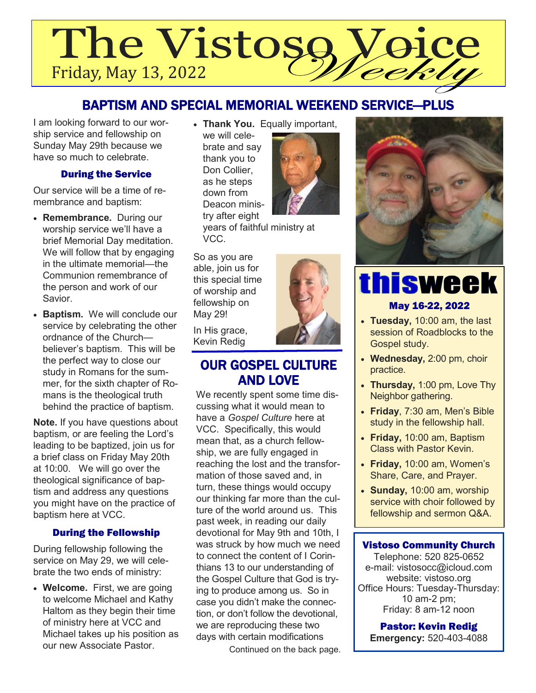# The Vistosg **QICE** Friday, May 13, 2022

# BAPTISM AND SPECIAL MEMORIAL WEEKEND SERVICE—PLUS

I am looking forward to our worship service and fellowship on Sunday May 29th because we have so much to celebrate.

# During the Service

Our service will be a time of remembrance and baptism:

- **Remembrance.** During our worship service we'll have a brief Memorial Day meditation. We will follow that by engaging in the ultimate memorial—the Communion remembrance of the person and work of our Savior.
- **Baptism.** We will conclude our service by celebrating the other ordnance of the Church believer's baptism. This will be the perfect way to close our study in Romans for the summer, for the sixth chapter of Romans is the theological truth behind the practice of baptism.

**Note.** If you have questions about baptism, or are feeling the Lord's leading to be baptized, join us for a brief class on Friday May 20th at 10:00. We will go over the theological significance of baptism and address any questions you might have on the practice of baptism here at VCC.

## During the Fellowship

During fellowship following the service on May 29, we will celebrate the two ends of ministry:

• **Welcome.** First, we are going to welcome Michael and Kathy Haltom as they begin their time of ministry here at VCC and Michael takes up his position as our new Associate Pastor.

• **Thank You.** Equally important, we will celebrate and say thank you to Don Collier, as he steps down from Deacon ministry after eight



years of faithful ministry at VCC.

So as you are able, join us for this special time of worship and fellowship on May 29!

In His grace, Kevin Redig

# OUR GOSPEL CULTURE AND LOVE

We recently spent some time discussing what it would mean to have a *Gospel Culture* here at VCC. Specifically, this would mean that, as a church fellowship, we are fully engaged in reaching the lost and the transformation of those saved and, in turn, these things would occupy our thinking far more than the culture of the world around us. This past week, in reading our daily devotional for May 9th and 10th, I was struck by how much we need to connect the content of I Corinthians 13 to our understanding of the Gospel Culture that God is trying to produce among us. So in case you didn't make the connection, or don't follow the devotional, we are reproducing these two days with certain modifications

Continued on the back page.



# thisweek May 16-22, 2022

- **Tuesday,** 10:00 am, the last session of Roadblocks to the Gospel study.
- **Wednesday,** 2:00 pm, choir practice.
- **Thursday,** 1:00 pm, Love Thy Neighbor gathering.
- **Friday**, 7:30 am, Men's Bible study in the fellowship hall.
- **Friday,** 10:00 am, Baptism Class with Pastor Kevin.
- **Friday,** 10:00 am, Women's Share, Care, and Prayer.
- **Sunday,** 10:00 am, worship service with choir followed by fellowship and sermon Q&A.

## Vistoso Community Church

Telephone: 520 825-0652 e-mail: vistosocc@icloud.com website: vistoso.org Office Hours: Tuesday-Thursday: 10 am-2 pm; Friday: 8 am-12 noon

Pastor: Kevin Redig

**Emergency:** 520-403-4088